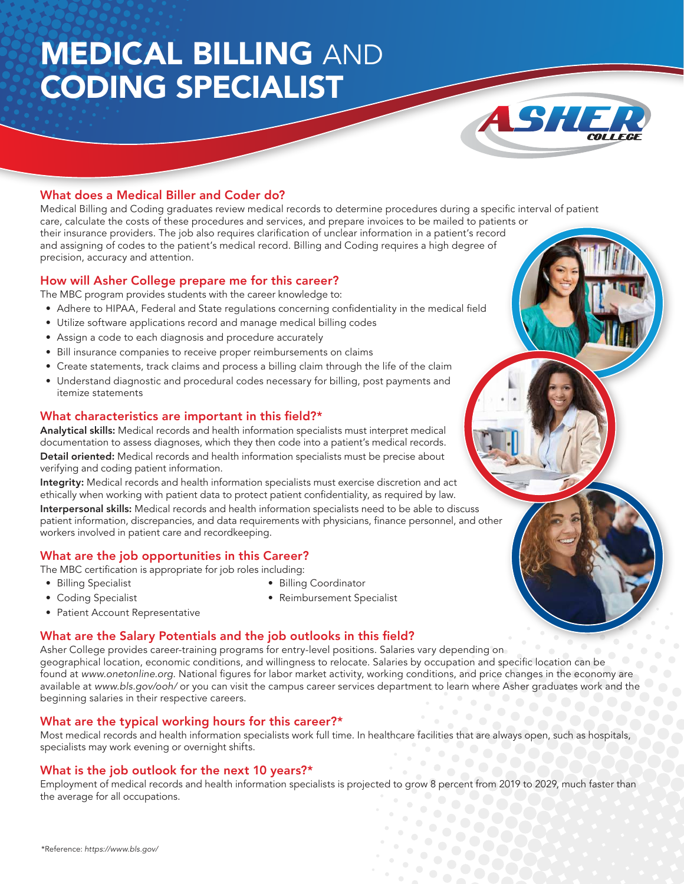# MEDICAL BILLING AND CODING SPECIALIST



### What does a Medical Biller and Coder do?

Medical Billing and Coding graduates review medical records to determine procedures during a specific interval of patient care, calculate the costs of these procedures and services, and prepare invoices to be mailed to patients or their insurance providers. The job also requires clarification of unclear information in a patient's record and assigning of codes to the patient's medical record. Billing and Coding requires a high degree of precision, accuracy and attention.

#### How will Asher College prepare me for this career?

The MBC program provides students with the career knowledge to:

- Adhere to HIPAA, Federal and State regulations concerning confidentiality in the medical field
- Utilize software applications record and manage medical billing codes
- Assign a code to each diagnosis and procedure accurately
- Bill insurance companies to receive proper reimbursements on claims
- Create statements, track claims and process a billing claim through the life of the claim
- Understand diagnostic and procedural codes necessary for billing, post payments and itemize statements

#### What characteristics are important in this field?\*

Analytical skills: Medical records and health information specialists must interpret medical documentation to assess diagnoses, which they then code into a patient's medical records. Detail oriented: Medical records and health information specialists must be precise about verifying and coding patient information.

Integrity: Medical records and health information specialists must exercise discretion and act ethically when working with patient data to protect patient confidentiality, as required by law.

Interpersonal skills: Medical records and health information specialists need to be able to discuss patient information, discrepancies, and data requirements with physicians, finance personnel, and other workers involved in patient care and recordkeeping.

## What are the job opportunities in this Career?

The MBC certification is appropriate for job roles including:

- Billing Specialist
- Coding Specialist
- Billing Coordinator
- Patient Account Representative
- Reimbursement Specialist

#### What are the Salary Potentials and the job outlooks in this field?

Asher College provides career-training programs for entry-level positions. Salaries vary depending on geographical location, economic conditions, and willingness to relocate. Salaries by occupation and specific location can be found at www.onetonline.org. National figures for labor market activity, working conditions, and price changes in the economy are available at www.bls.gov/ooh/ or you can visit the campus career services department to learn where Asher graduates work and the beginning salaries in their respective careers.

#### What are the typical working hours for this career?\*

Most medical records and health information specialists work full time. In healthcare facilities that are always open, such as hospitals, specialists may work evening or overnight shifts.

### What is the job outlook for the next 10 years?\*

Employment of medical records and health information specialists is projected to grow 8 percent from 2019 to 2029, much faster than the average for all occupations.